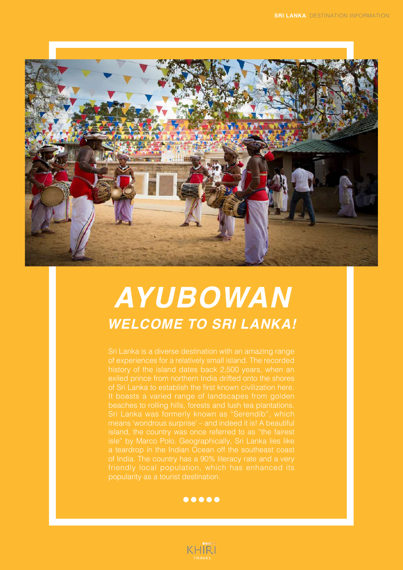

# *AYUBOWAN WELCOME TO SRI LANKA!*

It boasts a varied range of landscapes from golden means 'wondrous surprise' – and indeed it is! A beautiful



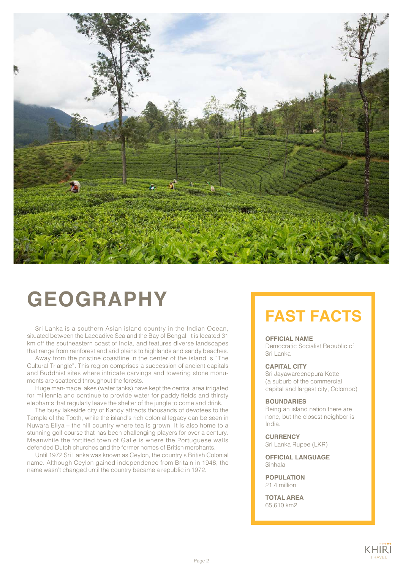

### **GEOGRAPHY**

Sri Lanka is a southern Asian island country in the Indian Ocean, situated between the Laccadive Sea and the Bay of Bengal. It is located 31 km off the southeastern coast of India, and features diverse landscapes that range from rainforest and arid plains to highlands and sandy beaches.

Away from the pristine coastline in the center of the island is "The Cultural Triangle". This region comprises a succession of ancient capitals and Buddhist sites where intricate carvings and towering stone monuments are scattered throughout the forests.

Huge man-made lakes (water tanks) have kept the central area irrigated for millennia and continue to provide water for paddy fields and thirsty elephants that regularly leave the shelter of the jungle to come and drink.

The busy lakeside city of Kandy attracts thousands of devotees to the Temple of the Tooth, while the island's rich colonial legacy can be seen in Nuwara Eliya – the hill country where tea is grown. It is also home to a stunning golf course that has been challenging players for over a century. Meanwhile the fortified town of Galle is where the Portuguese walls defended Dutch churches and the former homes of British merchants.

Until 1972 Sri Lanka was known as Ceylon, the country's British Colonial name. Although Ceylon gained independence from Britain in 1948, the name wasn't changed until the country became a republic in 1972.

#### **FAST FACTS**

#### **OFFICIAL NAME**

Democratic Socialist Republic of Sri Lanka

#### **CAPITAL CITY**

Sri Jayawardenepura Kotte (a suburb of the commercial capital and largest city, Colombo)

#### **BOUNDARIES**

Being an island nation there are none, but the closest neighbor is India.

#### **CURRENCY**

Sri Lanka Rupee (LKR)

**OFFICIAL LANGUAGE** Sinhala

**POPULATION** 21.4 million

**TOTAL AREA** 65,610 km2

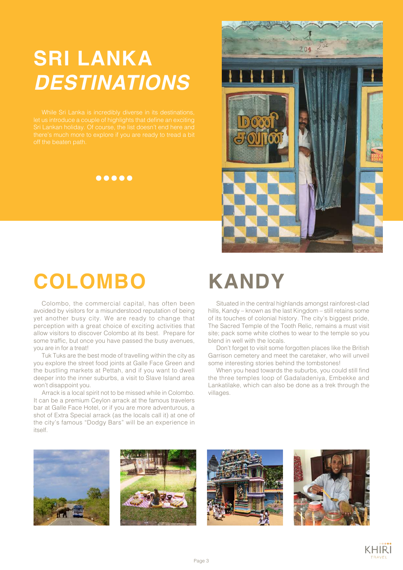### **SRI LANKA** *DESTINATIONS*

While Sri Lanka is incredibly diverse in its destinations,





### **COLOMBO**

Colombo, the commercial capital, has often been avoided by visitors for a misunderstood reputation of being yet another busy city. We are ready to change that perception with a great choice of exciting activities that allow visitors to discover Colombo at its best. Prepare for some traffic, but once you have passed the busy avenues, you are in for a treat!

Tuk Tuks are the best mode of travelling within the city as you explore the street food joints at Galle Face Green and the bustling markets at Pettah, and if you want to dwell deeper into the inner suburbs, a visit to Slave Island area won't disappoint you.

Arrack is a local spirit not to be missed while in Colombo. It can be a premium Ceylon arrack at the famous travelers bar at Galle Face Hotel, or if you are more adventurous, a shot of Extra Special arrack (as the locals call it) at one of the city's famous "Dodgy Bars" will be an experience in itself.

## **KANDY**

Situated in the central highlands amongst rainforest-clad hills, Kandy – known as the last Kingdom – still retains some of its touches of colonial history. The city's biggest pride, The Sacred Temple of the Tooth Relic, remains a must visit site; pack some white clothes to wear to the temple so you blend in well with the locals.

Don't forget to visit some forgotten places like the British Garrison cemetery and meet the caretaker, who will unveil some interesting stories behind the tombstones!

When you head towards the suburbs, you could still find the three temples loop of Gadaladeniya, Embekke and Lankatilake, which can also be done as a trek through the villages.